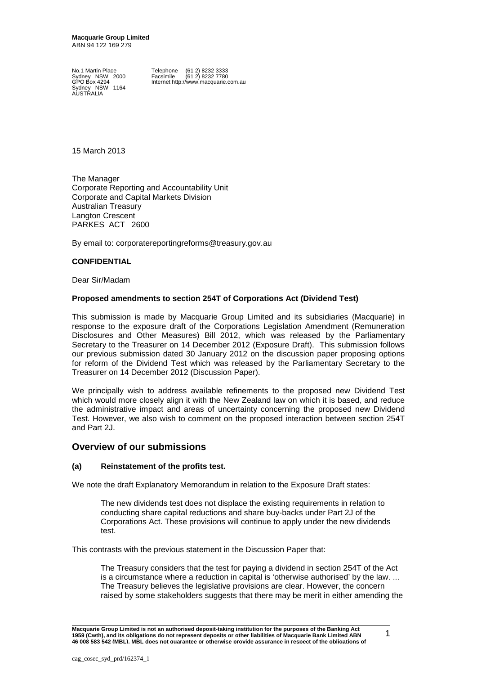**Macquarie Group Limited** ABN 94 122 169 279

Sydney NSW 1164 AUSTRALIA

No.1 Martin Place Telephone (61 2) 8232 3333<br>Sydney NSW 2000 Facsimile (61 2) 8232 7780 Sydney NSW 2000 Facsimile (61 2) 8232 7780 Internet http://www.macquarie.com.au

15 March 2013

The Manager Corporate Reporting and Accountability Unit Corporate and Capital Markets Division Australian Treasury Langton Crescent PARKES ACT 2600

By email to: corporatereportingreforms@treasury.gov.au

### **CONFIDENTIAL**

Dear Sir/Madam

### **Proposed amendments to section 254T of Corporations Act (Dividend Test)**

This submission is made by Macquarie Group Limited and its subsidiaries (Macquarie) in response to the exposure draft of the Corporations Legislation Amendment (Remuneration Disclosures and Other Measures) Bill 2012, which was released by the Parliamentary Secretary to the Treasurer on 14 December 2012 (Exposure Draft). This submission follows our previous submission dated 30 January 2012 on the discussion paper proposing options for reform of the Dividend Test which was released by the Parliamentary Secretary to the Treasurer on 14 December 2012 (Discussion Paper).

We principally wish to address available refinements to the proposed new Dividend Test which would more closely align it with the New Zealand law on which it is based, and reduce the administrative impact and areas of uncertainty concerning the proposed new Dividend Test. However, we also wish to comment on the proposed interaction between section 254T and Part 2J.

# **Overview of our submissions**

### **(a) Reinstatement of the profits test.**

We note the draft Explanatory Memorandum in relation to the Exposure Draft states:

The new dividends test does not displace the existing requirements in relation to conducting share capital reductions and share buy-backs under Part 2J of the Corporations Act. These provisions will continue to apply under the new dividends test.

This contrasts with the previous statement in the Discussion Paper that:

The Treasury considers that the test for paying a dividend in section 254T of the Act is a circumstance where a reduction in capital is 'otherwise authorised' by the law. ... The Treasury believes the legislative provisions are clear. However, the concern raised by some stakeholders suggests that there may be merit in either amending the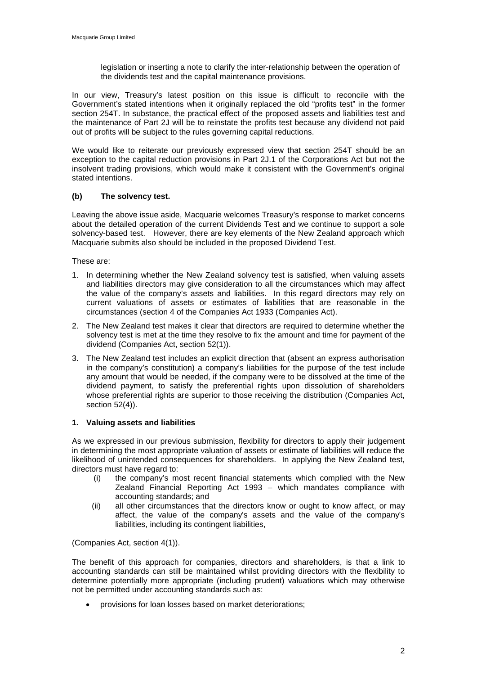legislation or inserting a note to clarify the inter-relationship between the operation of the dividends test and the capital maintenance provisions.

In our view, Treasury's latest position on this issue is difficult to reconcile with the Government's stated intentions when it originally replaced the old "profits test" in the former section 254T. In substance, the practical effect of the proposed assets and liabilities test and the maintenance of Part 2J will be to reinstate the profits test because any dividend not paid out of profits will be subject to the rules governing capital reductions.

We would like to reiterate our previously expressed view that section 254T should be an exception to the capital reduction provisions in Part 2J.1 of the Corporations Act but not the insolvent trading provisions, which would make it consistent with the Government's original stated intentions.

## **(b) The solvency test.**

Leaving the above issue aside, Macquarie welcomes Treasury's response to market concerns about the detailed operation of the current Dividends Test and we continue to support a sole solvency-based test. However, there are key elements of the New Zealand approach which Macquarie submits also should be included in the proposed Dividend Test.

These are:

- 1. In determining whether the New Zealand solvency test is satisfied, when valuing assets and liabilities directors may give consideration to all the circumstances which may affect the value of the company's assets and liabilities. In this regard directors may rely on current valuations of assets or estimates of liabilities that are reasonable in the circumstances (section 4 of the Companies Act 1933 (Companies Act).
- 2. The New Zealand test makes it clear that directors are required to determine whether the solvency test is met at the time they resolve to fix the amount and time for payment of the dividend (Companies Act, section 52(1)).
- 3. The New Zealand test includes an explicit direction that (absent an express authorisation in the company's constitution) a company's liabilities for the purpose of the test include any amount that would be needed, if the company were to be dissolved at the time of the dividend payment, to satisfy the preferential rights upon dissolution of shareholders whose preferential rights are superior to those receiving the distribution (Companies Act, section 52(4)).

## **1. Valuing assets and liabilities**

As we expressed in our previous submission, flexibility for directors to apply their judgement in determining the most appropriate valuation of assets or estimate of liabilities will reduce the likelihood of unintended consequences for shareholders. In applying the New Zealand test, directors must have regard to:

- (i) the company's most recent financial statements which complied with the New Zealand Financial Reporting Act 1993 – which mandates compliance with accounting standards; and
- (ii) all other circumstances that the directors know or ought to know affect, or may affect, the value of the company's assets and the value of the company's liabilities, including its contingent liabilities,

(Companies Act, section 4(1)).

The benefit of this approach for companies, directors and shareholders, is that a link to accounting standards can still be maintained whilst providing directors with the flexibility to determine potentially more appropriate (including prudent) valuations which may otherwise not be permitted under accounting standards such as:

• provisions for loan losses based on market deteriorations;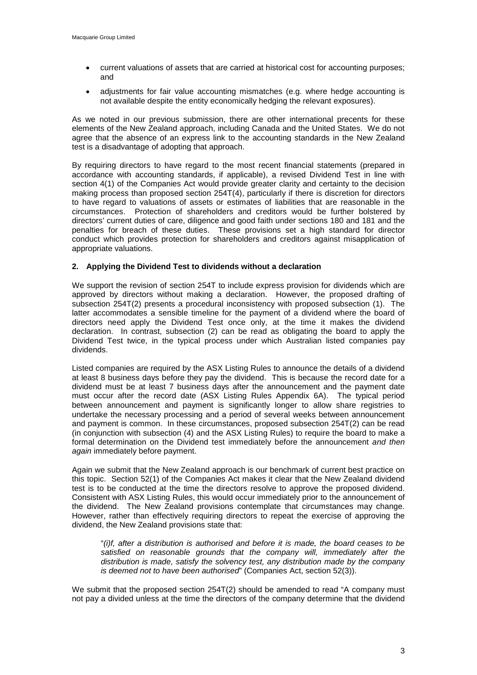- current valuations of assets that are carried at historical cost for accounting purposes; and
- adjustments for fair value accounting mismatches (e.g. where hedge accounting is not available despite the entity economically hedging the relevant exposures).

As we noted in our previous submission, there are other international precents for these elements of the New Zealand approach, including Canada and the United States. We do not agree that the absence of an express link to the accounting standards in the New Zealand test is a disadvantage of adopting that approach.

By requiring directors to have regard to the most recent financial statements (prepared in accordance with accounting standards, if applicable), a revised Dividend Test in line with section 4(1) of the Companies Act would provide greater clarity and certainty to the decision making process than proposed section 254T(4), particularly if there is discretion for directors to have regard to valuations of assets or estimates of liabilities that are reasonable in the circumstances. Protection of shareholders and creditors would be further bolstered by directors' current duties of care, diligence and good faith under sections 180 and 181 and the penalties for breach of these duties. These provisions set a high standard for director conduct which provides protection for shareholders and creditors against misapplication of appropriate valuations.

## **2. Applying the Dividend Test to dividends without a declaration**

We support the revision of section 254T to include express provision for dividends which are approved by directors without making a declaration. However, the proposed drafting of subsection 254T(2) presents a procedural inconsistency with proposed subsection (1). The latter accommodates a sensible timeline for the payment of a dividend where the board of directors need apply the Dividend Test once only, at the time it makes the dividend declaration. In contrast, subsection (2) can be read as obligating the board to apply the Dividend Test twice, in the typical process under which Australian listed companies pay dividends.

Listed companies are required by the ASX Listing Rules to announce the details of a dividend at least 8 business days before they pay the dividend. This is because the record date for a dividend must be at least 7 business days after the announcement and the payment date must occur after the record date (ASX Listing Rules Appendix 6A). The typical period between announcement and payment is significantly longer to allow share registries to undertake the necessary processing and a period of several weeks between announcement and payment is common. In these circumstances, proposed subsection 254T(2) can be read (in conjunction with subsection (4) and the ASX Listing Rules) to require the board to make a formal determination on the Dividend test immediately before the announcement *and then again* immediately before payment.

Again we submit that the New Zealand approach is our benchmark of current best practice on this topic. Section 52(1) of the Companies Act makes it clear that the New Zealand dividend test is to be conducted at the time the directors resolve to approve the proposed dividend. Consistent with ASX Listing Rules, this would occur immediately prior to the announcement of the dividend. The New Zealand provisions contemplate that circumstances may change. However, rather than effectively requiring directors to repeat the exercise of approving the dividend, the New Zealand provisions state that:

"*(i)f, after a distribution is authorised and before it is made, the board ceases to be satisfied on reasonable grounds that the company will, immediately after the distribution is made, satisfy the solvency test, any distribution made by the company is deemed not to have been authorised*" (Companies Act, section 52(3)).

We submit that the proposed section 254T(2) should be amended to read "A company must not pay a divided unless at the time the directors of the company determine that the dividend